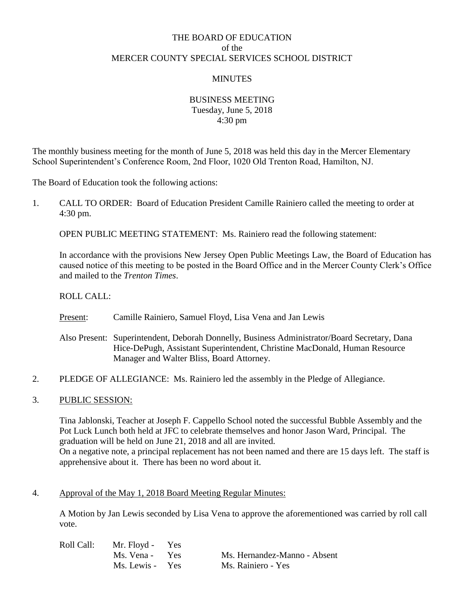# THE BOARD OF EDUCATION of the MERCER COUNTY SPECIAL SERVICES SCHOOL DISTRICT

### MINUTES

### BUSINESS MEETING Tuesday, June 5, 2018 4:30 pm

The monthly business meeting for the month of June 5, 2018 was held this day in the Mercer Elementary School Superintendent's Conference Room, 2nd Floor, 1020 Old Trenton Road, Hamilton, NJ.

The Board of Education took the following actions:

1. CALL TO ORDER: Board of Education President Camille Rainiero called the meeting to order at 4:30 pm.

OPEN PUBLIC MEETING STATEMENT: Ms. Rainiero read the following statement:

In accordance with the provisions New Jersey Open Public Meetings Law, the Board of Education has caused notice of this meeting to be posted in the Board Office and in the Mercer County Clerk's Office and mailed to the *Trenton Times*.

ROLL CALL:

Present: Camille Rainiero, Samuel Floyd, Lisa Vena and Jan Lewis

- Also Present: Superintendent, Deborah Donnelly, Business Administrator/Board Secretary, Dana Hice-DePugh, Assistant Superintendent, Christine MacDonald, Human Resource Manager and Walter Bliss, Board Attorney.
- 2. PLEDGE OF ALLEGIANCE: Ms. Rainiero led the assembly in the Pledge of Allegiance.

#### 3. PUBLIC SESSION:

Tina Jablonski, Teacher at Joseph F. Cappello School noted the successful Bubble Assembly and the Pot Luck Lunch both held at JFC to celebrate themselves and honor Jason Ward, Principal. The graduation will be held on June 21, 2018 and all are invited. On a negative note, a principal replacement has not been named and there are 15 days left. The staff is apprehensive about it. There has been no word about it.

#### 4. Approval of the May 1, 2018 Board Meeting Regular Minutes:

| Roll Call: | Mr. Floyd - Yes |                              |
|------------|-----------------|------------------------------|
|            | Ms. Vena - Yes  | Ms. Hernandez-Manno - Absent |
|            | Ms. Lewis - Yes | Ms. Rainiero - Yes           |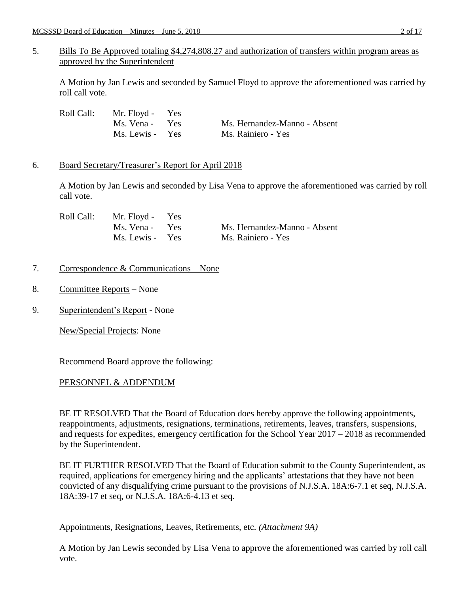# 5. Bills To Be Approved totaling \$4,274,808.27 and authorization of transfers within program areas as approved by the Superintendent

A Motion by Jan Lewis and seconded by Samuel Floyd to approve the aforementioned was carried by roll call vote.

| Roll Call: | Mr. Floyd - Yes |                              |
|------------|-----------------|------------------------------|
|            | Ms. Vena - Yes  | Ms. Hernandez-Manno - Absent |
|            | Ms. Lewis - Yes | Ms. Rainiero - Yes           |

## 6. Board Secretary/Treasurer's Report for April 2018

A Motion by Jan Lewis and seconded by Lisa Vena to approve the aforementioned was carried by roll call vote.

| Roll Call: | Mr. Floyd - Yes |                              |
|------------|-----------------|------------------------------|
|            | Ms. Vena - Yes  | Ms. Hernandez-Manno - Absent |
|            | Ms. Lewis - Yes | Ms. Rainiero - Yes           |

## 7. Correspondence & Communications – None

- 8. Committee Reports None
- 9. Superintendent's Report None

New/Special Projects: None

Recommend Board approve the following:

### PERSONNEL & ADDENDUM

BE IT RESOLVED That the Board of Education does hereby approve the following appointments, reappointments, adjustments, resignations, terminations, retirements, leaves, transfers, suspensions, and requests for expedites, emergency certification for the School Year 2017 – 2018 as recommended by the Superintendent.

BE IT FURTHER RESOLVED That the Board of Education submit to the County Superintendent, as required, applications for emergency hiring and the applicants' attestations that they have not been convicted of any disqualifying crime pursuant to the provisions of N.J.S.A. 18A:6-7.1 et seq, N.J.S.A. 18A:39-17 et seq, or N.J.S.A. 18A:6-4.13 et seq.

Appointments, Resignations, Leaves, Retirements, etc. *(Attachment 9A)*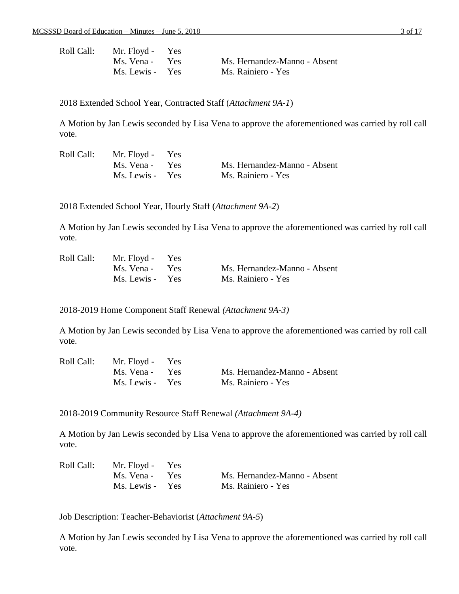| Roll Call: | Mr. Floyd - Yes |                              |
|------------|-----------------|------------------------------|
|            | Ms. Vena - Yes  | Ms. Hernandez-Manno - Absent |
|            | Ms. Lewis - Yes | Ms. Rainiero - Yes           |

2018 Extended School Year, Contracted Staff (*Attachment 9A-1*)

A Motion by Jan Lewis seconded by Lisa Vena to approve the aforementioned was carried by roll call vote.

| Roll Call: | Mr. Floyd - Yes |                              |
|------------|-----------------|------------------------------|
|            | Ms. Vena - Yes  | Ms. Hernandez-Manno - Absent |
|            | Ms. Lewis - Yes | Ms. Rainiero - Yes           |

2018 Extended School Year, Hourly Staff (*Attachment 9A-2*)

A Motion by Jan Lewis seconded by Lisa Vena to approve the aforementioned was carried by roll call vote.

|  | Roll Call: Mr. Floyd - Yes |                              |
|--|----------------------------|------------------------------|
|  | Ms. Vena - Yes             | Ms. Hernandez-Manno - Absent |
|  | Ms. Lewis - Yes            | Ms. Rainiero - Yes           |

2018-2019 Home Component Staff Renewal *(Attachment 9A-3)*

A Motion by Jan Lewis seconded by Lisa Vena to approve the aforementioned was carried by roll call vote.

| Roll Call: | Mr. Floyd - Yes |                              |
|------------|-----------------|------------------------------|
|            | Ms. Vena - Yes  | Ms. Hernandez-Manno - Absent |
|            | Ms. Lewis - Yes | Ms. Rainiero - Yes           |

2018-2019 Community Resource Staff Renewal *(Attachment 9A-4)*

A Motion by Jan Lewis seconded by Lisa Vena to approve the aforementioned was carried by roll call vote.

| Roll Call: | Mr. Floyd - Yes |                              |
|------------|-----------------|------------------------------|
|            | Ms. Vena - Yes  | Ms. Hernandez-Manno - Absent |
|            | Ms. Lewis - Yes | Ms. Rainiero - Yes           |

Job Description: Teacher-Behaviorist (*Attachment 9A-5*)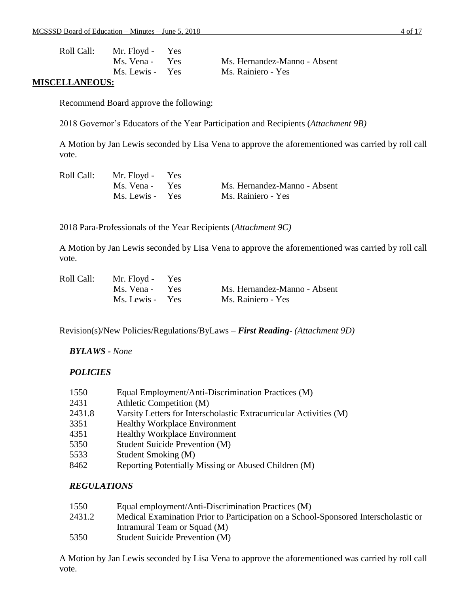| Roll Call:   | Mr. Floyd - Yes |                              |
|--------------|-----------------|------------------------------|
|              | Ms. Vena - Yes  | Ms. Hernandez-Manno - Absent |
|              | Ms. Lewis - Yes | Ms. Rainiero - Yes           |
| EI I ANEAHC. |                 |                              |

#### **MISCELLANEOUS:**

Recommend Board approve the following:

2018 Governor's Educators of the Year Participation and Recipients (*Attachment 9B)*

A Motion by Jan Lewis seconded by Lisa Vena to approve the aforementioned was carried by roll call vote.

| Roll Call: | Mr. Floyd - Yes |                              |
|------------|-----------------|------------------------------|
|            | Ms. Vena - Yes  | Ms. Hernandez-Manno - Absent |
|            | Ms. Lewis - Yes | Ms. Rainiero - Yes           |

2018 Para-Professionals of the Year Recipients (*Attachment 9C)*

A Motion by Jan Lewis seconded by Lisa Vena to approve the aforementioned was carried by roll call vote.

| Roll Call: | Mr. Floyd - Yes |                              |
|------------|-----------------|------------------------------|
|            | Ms. Vena - Yes  | Ms. Hernandez-Manno - Absent |
|            | Ms. Lewis - Yes | Ms. Rainiero - Yes           |

Revision(s)/New Policies/Regulations/ByLaws – *First Reading- (Attachment 9D)*

### *BYLAWS - None*

### *POLICIES*

| 1550   | Equal Employment/Anti-Discrimination Practices (M)                 |
|--------|--------------------------------------------------------------------|
| 2431   | Athletic Competition (M)                                           |
| 2431.8 | Varsity Letters for Interscholastic Extracurricular Activities (M) |
| 3351   | <b>Healthy Workplace Environment</b>                               |
| 4351   | <b>Healthy Workplace Environment</b>                               |
| 5350   | <b>Student Suicide Prevention (M)</b>                              |
| 5533   | Student Smoking (M)                                                |
| 8462   | Reporting Potentially Missing or Abused Children (M)               |

### *REGULATIONS*

| Equal employment/Anti-Discrimination Practices (M)                                  |
|-------------------------------------------------------------------------------------|
| Medical Examination Prior to Participation on a School-Sponsored Interscholastic or |
| Intramural Team or Squad (M)                                                        |
| Student Suicide Prevention (M)                                                      |
|                                                                                     |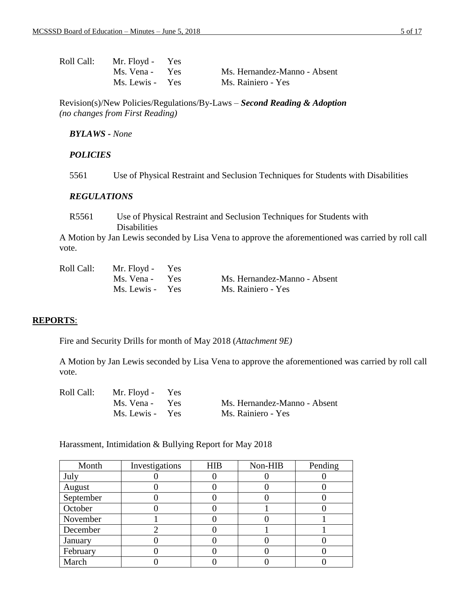| Roll Call: | Mr. Floyd - Yes |                              |
|------------|-----------------|------------------------------|
|            | Ms. Vena - Yes  | Ms. Hernandez-Manno - Absent |
|            | Ms. Lewis - Yes | Ms. Rainiero - Yes           |

Revision(s)/New Policies/Regulations/By-Laws – *Second Reading & Adoption (no changes from First Reading)*

#### *BYLAWS - None*

### *POLICIES*

5561 Use of Physical Restraint and Seclusion Techniques for Students with Disabilities

#### *REGULATIONS*

R5561 Use of Physical Restraint and Seclusion Techniques for Students with Disabilities

A Motion by Jan Lewis seconded by Lisa Vena to approve the aforementioned was carried by roll call vote.

| Roll Call: | Mr. Floyd - Yes |                              |
|------------|-----------------|------------------------------|
|            | Ms. Vena - Yes  | Ms. Hernandez-Manno - Absent |
|            | Ms. Lewis - Yes | Ms. Rainiero - Yes           |

### **REPORTS**:

Fire and Security Drills for month of May 2018 (*Attachment 9E)*

A Motion by Jan Lewis seconded by Lisa Vena to approve the aforementioned was carried by roll call vote.

| Roll Call: | Mr. Floyd - Yes |                              |
|------------|-----------------|------------------------------|
|            | Ms. Vena - Yes  | Ms. Hernandez-Manno - Absent |
|            | Ms. Lewis - Yes | Ms. Rainiero - Yes           |

Harassment, Intimidation & Bullying Report for May 2018

| Month     | Investigations | <b>HIB</b> | Non-HIB | Pending |
|-----------|----------------|------------|---------|---------|
| July      |                |            |         |         |
| August    |                |            |         |         |
| September |                |            |         |         |
| October   |                |            |         |         |
| November  |                |            |         |         |
| December  |                |            |         |         |
| January   |                |            |         |         |
| February  |                |            |         |         |
| March     |                |            |         |         |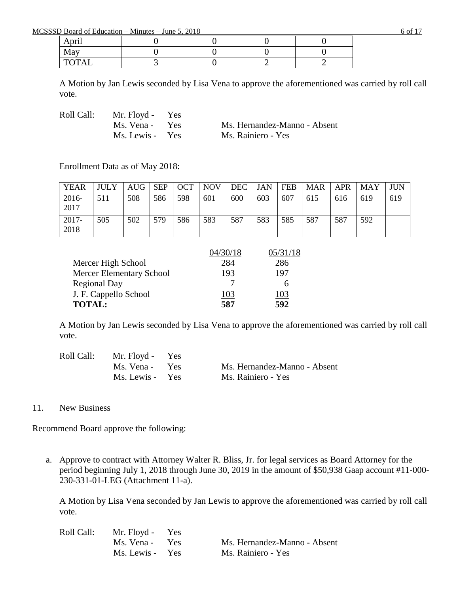MCSSSD Board of Education – Minutes – June 5, 2018 6 of 17

| $\cdot$ .<br>nri<br>April |  |  |
|---------------------------|--|--|
| Mav                       |  |  |
| <b>TOTAL</b>              |  |  |

A Motion by Jan Lewis seconded by Lisa Vena to approve the aforementioned was carried by roll call vote.

Roll Call: Mr. Floyd - Yes

Ms. Vena - Yes Ms. Hernandez-Manno - Absent Ms. Lewis - Yes Ms. Rainiero - Yes

Enrollment Data as of May 2018:

| <b>YEAR</b>   | JULY | AUG | <b>SEP</b> | <b>OCT</b> | <b>NOV</b> | DEC | JAN | <b>FEB</b> | <b>MAR</b> | <b>APR</b> | MAY |     |
|---------------|------|-----|------------|------------|------------|-----|-----|------------|------------|------------|-----|-----|
| 2016-<br>2017 | 511  | 508 | 586        | 598        | 601        | 600 | 603 | 607        | 615        | 616        | 619 | 619 |
| 2017-<br>2018 | 505  | 502 | 579        | 586        | 583        | 587 | 583 | 585        | 587        | 587        | 592 |     |

|                                 | 04/30/18 | 05/31/18 |
|---------------------------------|----------|----------|
| Mercer High School              | 284      | 286      |
| <b>Mercer Elementary School</b> | 193      | 197      |
| <b>Regional Day</b>             |          | h        |
| J. F. Cappello School           | 103      | '03      |
| <b>TOTAL:</b>                   | 587      | 592      |

A Motion by Jan Lewis seconded by Lisa Vena to approve the aforementioned was carried by roll call vote.

| Roll Call: | Mr. Floyd - Yes |                              |
|------------|-----------------|------------------------------|
|            | Ms. Vena - Yes  | Ms. Hernandez-Manno - Absent |
|            | Ms. Lewis - Yes | Ms. Rainiero - Yes           |

11. New Business

Recommend Board approve the following:

a. Approve to contract with Attorney Walter R. Bliss, Jr. for legal services as Board Attorney for the period beginning July 1, 2018 through June 30, 2019 in the amount of \$50,938 Gaap account #11-000- 230-331-01-LEG (Attachment 11-a).

| Roll Call: | Mr. Floyd - Yes |                              |
|------------|-----------------|------------------------------|
|            | Ms. Vena - Yes  | Ms. Hernandez-Manno - Absent |
|            | Ms. Lewis - Yes | Ms. Rainiero - Yes           |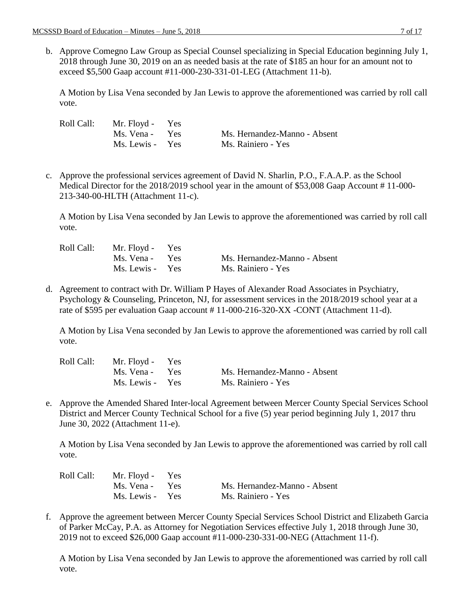b. Approve Comegno Law Group as Special Counsel specializing in Special Education beginning July 1, 2018 through June 30, 2019 on an as needed basis at the rate of \$185 an hour for an amount not to exceed \$5,500 Gaap account #11-000-230-331-01-LEG (Attachment 11-b).

A Motion by Lisa Vena seconded by Jan Lewis to approve the aforementioned was carried by roll call vote.

| Roll Call: | Mr. Floyd - Yes |                              |
|------------|-----------------|------------------------------|
|            | Ms. Vena - Yes  | Ms. Hernandez-Manno - Absent |
|            | Ms. Lewis - Yes | Ms. Rainiero - Yes           |

c. Approve the professional services agreement of David N. Sharlin, P.O., F.A.A.P. as the School Medical Director for the 2018/2019 school year in the amount of \$53,008 Gaap Account #11-000-213-340-00-HLTH (Attachment 11-c).

A Motion by Lisa Vena seconded by Jan Lewis to approve the aforementioned was carried by roll call vote.

| Roll Call: | Mr. Floyd - Yes |                              |
|------------|-----------------|------------------------------|
|            | Ms. Vena - Yes  | Ms. Hernandez-Manno - Absent |
|            | Ms. Lewis - Yes | Ms. Rainiero - Yes           |

d. Agreement to contract with Dr. William P Hayes of Alexander Road Associates in Psychiatry, Psychology & Counseling, Princeton, NJ, for assessment services in the 2018/2019 school year at a rate of \$595 per evaluation Gaap account # 11-000-216-320-XX -CONT (Attachment 11-d).

A Motion by Lisa Vena seconded by Jan Lewis to approve the aforementioned was carried by roll call vote.

| Roll Call: | Mr. Floyd - Yes |                              |
|------------|-----------------|------------------------------|
|            | Ms. Vena - Yes  | Ms. Hernandez-Manno - Absent |
|            | Ms. Lewis - Yes | Ms. Rainiero - Yes           |

e. Approve the Amended Shared Inter-local Agreement between Mercer County Special Services School District and Mercer County Technical School for a five (5) year period beginning July 1, 2017 thru June 30, 2022 (Attachment 11-e).

A Motion by Lisa Vena seconded by Jan Lewis to approve the aforementioned was carried by roll call vote.

| Roll Call: | Mr. Floyd - Yes |                              |
|------------|-----------------|------------------------------|
|            | Ms. Vena - Yes  | Ms. Hernandez-Manno - Absent |
|            | Ms. Lewis - Yes | Ms. Rainiero - Yes           |

f. Approve the agreement between Mercer County Special Services School District and Elizabeth Garcia of Parker McCay, P.A. as Attorney for Negotiation Services effective July 1, 2018 through June 30, 2019 not to exceed \$26,000 Gaap account #11-000-230-331-00-NEG (Attachment 11-f).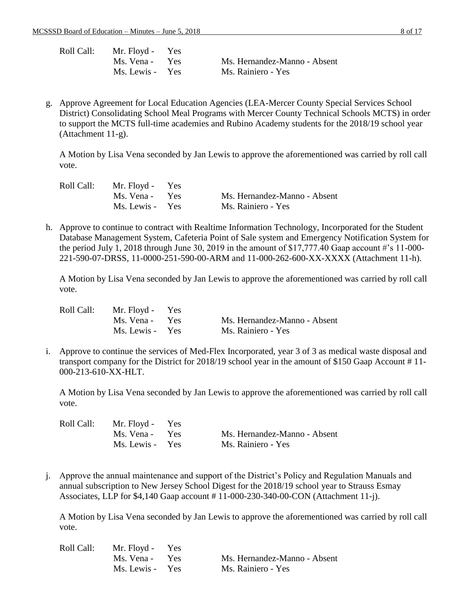| Roll Call: | Mr. Floyd - Yes |                              |
|------------|-----------------|------------------------------|
|            | Ms. Vena - Yes  | Ms. Hernandez-Manno - Absent |
|            | Ms. Lewis - Yes | Ms. Rainiero - Yes           |

g. Approve Agreement for Local Education Agencies (LEA-Mercer County Special Services School District) Consolidating School Meal Programs with Mercer County Technical Schools MCTS) in order to support the MCTS full-time academies and Rubino Academy students for the 2018/19 school year (Attachment 11-g).

A Motion by Lisa Vena seconded by Jan Lewis to approve the aforementioned was carried by roll call vote.

| Roll Call: | Mr. Floyd - Yes |                              |
|------------|-----------------|------------------------------|
|            | Ms. Vena - Yes  | Ms. Hernandez-Manno - Absent |
|            | Ms. Lewis - Yes | Ms. Rainiero - Yes           |

h. Approve to continue to contract with Realtime Information Technology, Incorporated for the Student Database Management System, Cafeteria Point of Sale system and Emergency Notification System for the period July 1, 2018 through June 30, 2019 in the amount of \$17,777.40 Gaap account #'s 11-000-221-590-07-DRSS, 11-0000-251-590-00-ARM and 11-000-262-600-XX-XXXX (Attachment 11-h).

A Motion by Lisa Vena seconded by Jan Lewis to approve the aforementioned was carried by roll call vote.

| Roll Call: | Mr. Floyd - Yes |                              |
|------------|-----------------|------------------------------|
|            | Ms. Vena - Yes  | Ms. Hernandez-Manno - Absent |
|            | Ms. Lewis - Yes | Ms. Rainiero - Yes           |

i. Approve to continue the services of Med-Flex Incorporated, year 3 of 3 as medical waste disposal and transport company for the District for 2018/19 school year in the amount of \$150 Gaap Account # 11- 000-213-610-XX-HLT.

A Motion by Lisa Vena seconded by Jan Lewis to approve the aforementioned was carried by roll call vote.

| Roll Call: | Mr. Floyd - Yes |                              |
|------------|-----------------|------------------------------|
|            | Ms. Vena - Yes  | Ms. Hernandez-Manno - Absent |
|            | Ms. Lewis - Yes | Ms. Rainiero - Yes           |

j. Approve the annual maintenance and support of the District's Policy and Regulation Manuals and annual subscription to New Jersey School Digest for the 2018/19 school year to Strauss Esmay Associates, LLP for \$4,140 Gaap account # 11-000-230-340-00-CON (Attachment 11-j).

| Roll Call: | Mr. Floyd - Yes |                              |
|------------|-----------------|------------------------------|
|            | Ms. Vena - Yes  | Ms. Hernandez-Manno - Absent |
|            | Ms. Lewis - Yes | Ms. Rainiero - Yes           |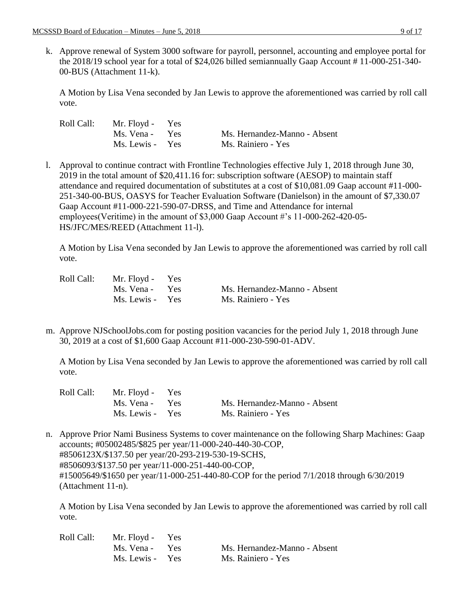k. Approve renewal of System 3000 software for payroll, personnel, accounting and employee portal for the 2018/19 school year for a total of \$24,026 billed semiannually Gaap Account # 11-000-251-340- 00-BUS (Attachment 11-k).

A Motion by Lisa Vena seconded by Jan Lewis to approve the aforementioned was carried by roll call vote.

| Roll Call: | Mr. Floyd - Yes |                              |
|------------|-----------------|------------------------------|
|            | Ms. Vena - Yes  | Ms. Hernandez-Manno - Absent |
|            | Ms. Lewis - Yes | Ms. Rainiero - Yes           |

l. Approval to continue contract with Frontline Technologies effective July 1, 2018 through June 30, 2019 in the total amount of \$20,411.16 for: subscription software (AESOP) to maintain staff attendance and required documentation of substitutes at a cost of \$10,081.09 Gaap account #11-000- 251-340-00-BUS, OASYS for Teacher Evaluation Software (Danielson) in the amount of \$7,330.07 Gaap Account #11-000-221-590-07-DRSS, and Time and Attendance for internal employees(Veritime) in the amount of \$3,000 Gaap Account #'s 11-000-262-420-05- HS/JFC/MES/REED (Attachment 11-l).

A Motion by Lisa Vena seconded by Jan Lewis to approve the aforementioned was carried by roll call vote.

| Roll Call: | Mr. Floyd - Yes |                              |
|------------|-----------------|------------------------------|
|            | Ms. Vena - Yes  | Ms. Hernandez-Manno - Absent |
|            | Ms. Lewis - Yes | Ms. Rainiero - Yes           |

m. Approve NJSchoolJobs.com for posting position vacancies for the period July 1, 2018 through June 30, 2019 at a cost of \$1,600 Gaap Account #11-000-230-590-01-ADV.

A Motion by Lisa Vena seconded by Jan Lewis to approve the aforementioned was carried by roll call vote.

| Roll Call: | Mr. Floyd - Yes |                              |
|------------|-----------------|------------------------------|
|            | Ms. Vena - Yes  | Ms. Hernandez-Manno - Absent |
|            | Ms. Lewis - Yes | Ms. Rainiero - Yes           |

n. Approve Prior Nami Business Systems to cover maintenance on the following Sharp Machines: Gaap accounts; #05002485/\$825 per year/11-000-240-440-30-COP, #8506123X/\$137.50 per year/20-293-219-530-19-SCHS, #8506093/\$137.50 per year/11-000-251-440-00-COP, #15005649/\$1650 per year/11-000-251-440-80-COP for the period 7/1/2018 through 6/30/2019 (Attachment 11-n).

| Roll Call: | Mr. Floyd - Yes |                              |
|------------|-----------------|------------------------------|
|            | Ms. Vena - Yes  | Ms. Hernandez-Manno - Absent |
|            | Ms. Lewis - Yes | Ms. Rainiero - Yes           |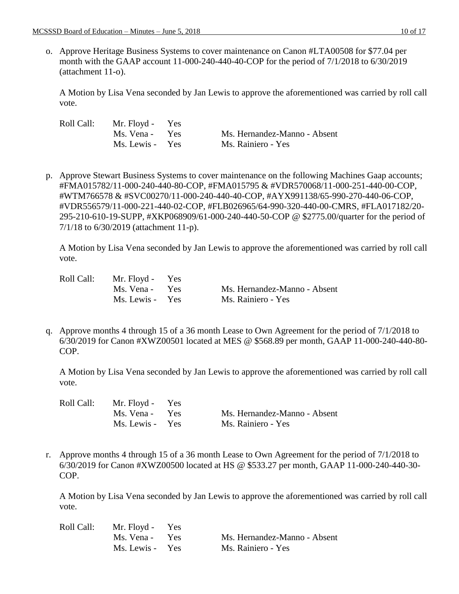o. Approve Heritage Business Systems to cover maintenance on Canon #LTA00508 for \$77.04 per month with the GAAP account 11-000-240-440-40-COP for the period of 7/1/2018 to 6/30/2019 (attachment 11-o).

A Motion by Lisa Vena seconded by Jan Lewis to approve the aforementioned was carried by roll call vote.

| Roll Call: | Mr. Floyd - Yes |                              |
|------------|-----------------|------------------------------|
|            | Ms. Vena - Yes  | Ms. Hernandez-Manno - Absent |
|            | Ms. Lewis - Yes | Ms. Rainiero - Yes           |

p. Approve Stewart Business Systems to cover maintenance on the following Machines Gaap accounts; #FMA015782/11-000-240-440-80-COP, #FMA015795 & #VDR570068/11-000-251-440-00-COP, #WTM766578 & #SVC00270/11-000-240-440-40-COP, #AYX991138/65-990-270-440-06-COP, #VDR556579/11-000-221-440-02-COP, #FLB026965/64-990-320-440-00-CMRS, #FLA017182/20- 295-210-610-19-SUPP, #XKP068909/61-000-240-440-50-COP @ \$2775.00/quarter for the period of 7/1/18 to 6/30/2019 (attachment 11-p).

A Motion by Lisa Vena seconded by Jan Lewis to approve the aforementioned was carried by roll call vote.

| Roll Call: | Mr. Floyd - Yes |                              |
|------------|-----------------|------------------------------|
|            | Ms. Vena - Yes  | Ms. Hernandez-Manno - Absent |
|            | Ms. Lewis - Yes | Ms. Rainiero - Yes           |

q. Approve months 4 through 15 of a 36 month Lease to Own Agreement for the period of 7/1/2018 to 6/30/2019 for Canon #XWZ00501 located at MES @ \$568.89 per month, GAAP 11-000-240-440-80- COP.

A Motion by Lisa Vena seconded by Jan Lewis to approve the aforementioned was carried by roll call vote.

| Roll Call: - | Mr. Floyd - Yes |                              |
|--------------|-----------------|------------------------------|
|              | Ms. Vena - Yes  | Ms. Hernandez-Manno - Absent |
|              | Ms. Lewis - Yes | Ms. Rainiero - Yes           |

r. Approve months 4 through 15 of a 36 month Lease to Own Agreement for the period of 7/1/2018 to 6/30/2019 for Canon #XWZ00500 located at HS @ \$533.27 per month, GAAP 11-000-240-440-30- COP.

| Roll Call: | Mr. Floyd - Yes |                              |
|------------|-----------------|------------------------------|
|            | Ms. Vena - Yes  | Ms. Hernandez-Manno - Absent |
|            | Ms. Lewis - Yes | Ms. Rainiero - Yes           |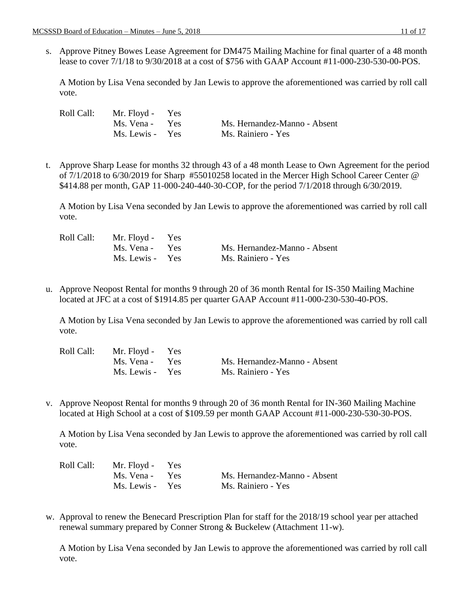s. Approve Pitney Bowes Lease Agreement for DM475 Mailing Machine for final quarter of a 48 month lease to cover 7/1/18 to 9/30/2018 at a cost of \$756 with GAAP Account #11-000-230-530-00-POS.

A Motion by Lisa Vena seconded by Jan Lewis to approve the aforementioned was carried by roll call vote.

| Roll Call: | Mr. Floyd - Yes |                              |
|------------|-----------------|------------------------------|
|            | Ms. Vena - Yes  | Ms. Hernandez-Manno - Absent |
|            | Ms. Lewis - Yes | Ms. Rainiero - Yes           |

t. Approve Sharp Lease for months 32 through 43 of a 48 month Lease to Own Agreement for the period of 7/1/2018 to 6/30/2019 for Sharp #55010258 located in the Mercer High School Career Center @ \$414.88 per month, GAP 11-000-240-440-30-COP, for the period 7/1/2018 through 6/30/2019.

A Motion by Lisa Vena seconded by Jan Lewis to approve the aforementioned was carried by roll call vote.

| Roll Call: | Mr. Floyd - Yes |                              |
|------------|-----------------|------------------------------|
|            | Ms. Vena - Yes  | Ms. Hernandez-Manno - Absent |
|            | Ms. Lewis - Yes | Ms. Rainiero - Yes           |

u. Approve Neopost Rental for months 9 through 20 of 36 month Rental for IS-350 Mailing Machine located at JFC at a cost of \$1914.85 per quarter GAAP Account #11-000-230-530-40-POS.

A Motion by Lisa Vena seconded by Jan Lewis to approve the aforementioned was carried by roll call vote.

| Roll Call: | Mr. Floyd - Yes |                              |
|------------|-----------------|------------------------------|
|            | Ms. Vena - Yes  | Ms. Hernandez-Manno - Absent |
|            | Ms. Lewis - Yes | Ms. Rainiero - Yes           |

v. Approve Neopost Rental for months 9 through 20 of 36 month Rental for IN-360 Mailing Machine located at High School at a cost of \$109.59 per month GAAP Account #11-000-230-530-30-POS.

A Motion by Lisa Vena seconded by Jan Lewis to approve the aforementioned was carried by roll call vote.

| Roll Call: | Mr. Floyd - Yes |                              |
|------------|-----------------|------------------------------|
|            | Ms. Vena - Yes  | Ms. Hernandez-Manno - Absent |
|            | Ms. Lewis - Yes | Ms. Rainiero - Yes           |

w. Approval to renew the Benecard Prescription Plan for staff for the 2018/19 school year per attached renewal summary prepared by Conner Strong & Buckelew (Attachment 11-w).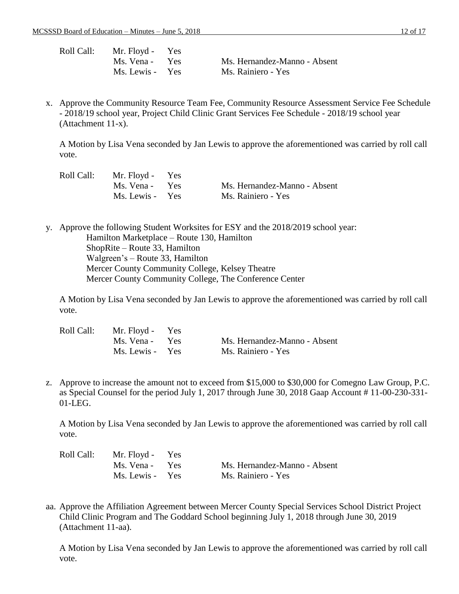| Roll Call: | Mr. Floyd - Yes |                              |
|------------|-----------------|------------------------------|
|            | Ms. Vena - Yes  | Ms. Hernandez-Manno - Absent |
|            | Ms. Lewis - Yes | Ms. Rainiero - Yes           |

x. Approve the Community Resource Team Fee, Community Resource Assessment Service Fee Schedule - 2018/19 school year, Project Child Clinic Grant Services Fee Schedule - 2018/19 school year (Attachment 11-x).

A Motion by Lisa Vena seconded by Jan Lewis to approve the aforementioned was carried by roll call vote.

|  | Roll Call: Mr. Floyd - Yes |                              |
|--|----------------------------|------------------------------|
|  | Ms. Vena - Yes             | Ms. Hernandez-Manno - Absent |
|  | Ms. Lewis - Yes            | Ms. Rainiero - Yes           |

y. Approve the following Student Worksites for ESY and the 2018/2019 school year: Hamilton Marketplace – Route 130, Hamilton ShopRite – Route 33, Hamilton Walgreen's – Route 33, Hamilton Mercer County Community College, Kelsey Theatre Mercer County Community College, The Conference Center

A Motion by Lisa Vena seconded by Jan Lewis to approve the aforementioned was carried by roll call vote.

| Roll Call: | Mr. Floyd - Yes |                              |
|------------|-----------------|------------------------------|
|            | Ms. Vena - Yes  | Ms. Hernandez-Manno - Absent |
|            | Ms. Lewis - Yes | Ms. Rainiero - Yes           |

z. Approve to increase the amount not to exceed from \$15,000 to \$30,000 for Comegno Law Group, P.C. as Special Counsel for the period July 1, 2017 through June 30, 2018 Gaap Account # 11-00-230-331- 01-LEG.

A Motion by Lisa Vena seconded by Jan Lewis to approve the aforementioned was carried by roll call vote.

| Roll Call: | Mr. Floyd - Yes |                              |
|------------|-----------------|------------------------------|
|            | Ms. Vena - Yes  | Ms. Hernandez-Manno - Absent |
|            | Ms. Lewis - Yes | Ms. Rainiero - Yes           |

aa. Approve the Affiliation Agreement between Mercer County Special Services School District Project Child Clinic Program and The Goddard School beginning July 1, 2018 through June 30, 2019 (Attachment 11-aa).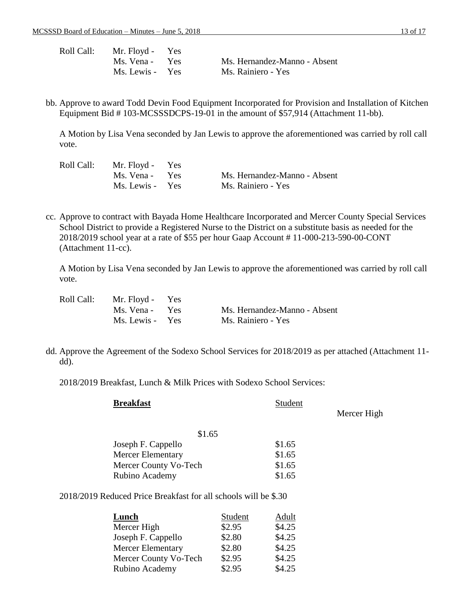| Roll Call: | Mr. Floyd - Yes |                              |
|------------|-----------------|------------------------------|
|            | Ms. Vena - Yes  | Ms. Hernandez-Manno - Absent |
|            | Ms. Lewis - Yes | Ms. Rainiero - Yes           |

bb. Approve to award Todd Devin Food Equipment Incorporated for Provision and Installation of Kitchen Equipment Bid # 103-MCSSSDCPS-19-01 in the amount of \$57,914 (Attachment 11-bb).

A Motion by Lisa Vena seconded by Jan Lewis to approve the aforementioned was carried by roll call vote.

| Roll Call: | Mr. Floyd - Yes |                              |
|------------|-----------------|------------------------------|
|            | Ms. Vena - Yes  | Ms. Hernandez-Manno - Absent |
|            | Ms. Lewis - Yes | Ms. Rainiero - Yes           |

cc. Approve to contract with Bayada Home Healthcare Incorporated and Mercer County Special Services School District to provide a Registered Nurse to the District on a substitute basis as needed for the 2018/2019 school year at a rate of \$55 per hour Gaap Account # 11-000-213-590-00-CONT (Attachment 11-cc).

A Motion by Lisa Vena seconded by Jan Lewis to approve the aforementioned was carried by roll call vote.

| Roll Call: | Mr. Floyd - Yes |                              |
|------------|-----------------|------------------------------|
|            | Ms. Vena - Yes  | Ms. Hernandez-Manno - Absent |
|            | Ms. Lewis - Yes | Ms. Rainiero - Yes           |

dd. Approve the Agreement of the Sodexo School Services for 2018/2019 as per attached (Attachment 11 dd).

2018/2019 Breakfast, Lunch & Milk Prices with Sodexo School Services:

| <b>Breakfast</b>                                                | Student |             |  |
|-----------------------------------------------------------------|---------|-------------|--|
|                                                                 |         | Mercer High |  |
| \$1.65                                                          |         |             |  |
| Joseph F. Cappello                                              | \$1.65  |             |  |
| Mercer Elementary                                               | \$1.65  |             |  |
| Mercer County Vo-Tech                                           | \$1.65  |             |  |
| Rubino Academy                                                  | \$1.65  |             |  |
| 2018/2019 Reduced Price Breakfast for all schools will be \$.30 |         |             |  |

| <b>Lunch</b>             | Student | Adult  |
|--------------------------|---------|--------|
| Mercer High              | \$2.95  | \$4.25 |
| Joseph F. Cappello       | \$2.80  | \$4.25 |
| <b>Mercer Elementary</b> | \$2.80  | \$4.25 |
| Mercer County Vo-Tech    | \$2.95  | \$4.25 |
| Rubino Academy           | \$2.95  | \$4.25 |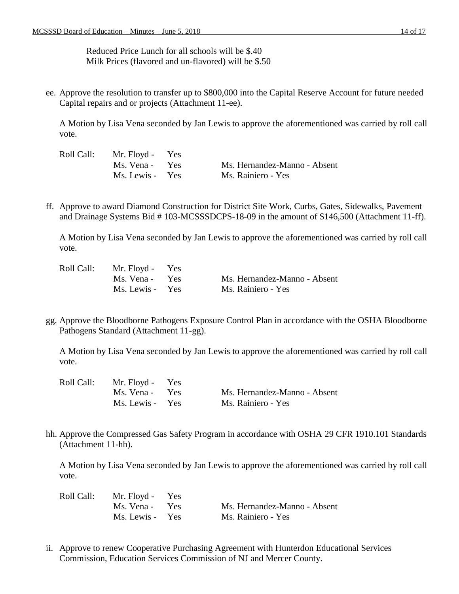Reduced Price Lunch for all schools will be \$.40 Milk Prices (flavored and un-flavored) will be \$.50

ee. Approve the resolution to transfer up to \$800,000 into the Capital Reserve Account for future needed Capital repairs and or projects (Attachment 11-ee).

A Motion by Lisa Vena seconded by Jan Lewis to approve the aforementioned was carried by roll call vote.

| Roll Call: | Mr. Floyd - Yes |                              |
|------------|-----------------|------------------------------|
|            | Ms. Vena - Yes  | Ms. Hernandez-Manno - Absent |
|            | Ms. Lewis - Yes | Ms. Rainiero - Yes           |

ff. Approve to award Diamond Construction for District Site Work, Curbs, Gates, Sidewalks, Pavement and Drainage Systems Bid # 103-MCSSSDCPS-18-09 in the amount of \$146,500 (Attachment 11-ff).

A Motion by Lisa Vena seconded by Jan Lewis to approve the aforementioned was carried by roll call vote.

| Roll Call: | Mr. Floyd - Yes |                              |
|------------|-----------------|------------------------------|
|            | Ms. Vena - Yes  | Ms. Hernandez-Manno - Absent |
|            | Ms. Lewis - Yes | Ms. Rainiero - Yes           |

gg. Approve the Bloodborne Pathogens Exposure Control Plan in accordance with the OSHA Bloodborne Pathogens Standard (Attachment 11-gg).

A Motion by Lisa Vena seconded by Jan Lewis to approve the aforementioned was carried by roll call vote.

| Roll Call: | Mr. Floyd - Yes |                              |
|------------|-----------------|------------------------------|
|            | Ms. Vena - Yes  | Ms. Hernandez-Manno - Absent |
|            | Ms. Lewis - Yes | Ms. Rainiero - Yes           |

hh. Approve the Compressed Gas Safety Program in accordance with OSHA 29 CFR 1910.101 Standards (Attachment 11-hh).

A Motion by Lisa Vena seconded by Jan Lewis to approve the aforementioned was carried by roll call vote.

| Roll Call: | Mr. Floyd - Yes |                              |
|------------|-----------------|------------------------------|
|            | Ms. Vena - Yes  | Ms. Hernandez-Manno - Absent |
|            | Ms. Lewis - Yes | Ms. Rainiero - Yes           |

ii. Approve to renew Cooperative Purchasing Agreement with Hunterdon Educational Services Commission, Education Services Commission of NJ and Mercer County.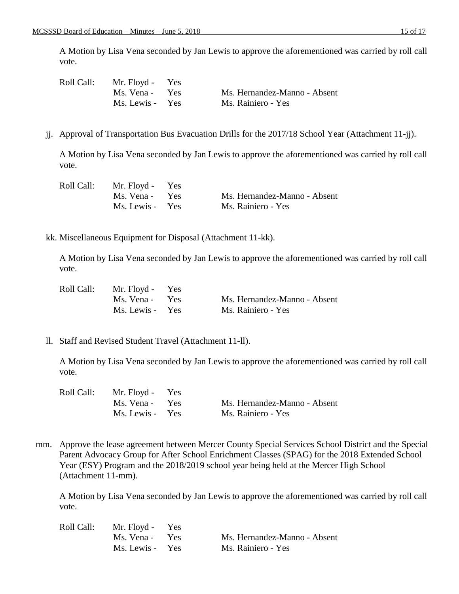A Motion by Lisa Vena seconded by Jan Lewis to approve the aforementioned was carried by roll call vote.

| Roll Call: | Mr. Floyd - Yes |                              |
|------------|-----------------|------------------------------|
|            | Ms. Vena - Yes  | Ms. Hernandez-Manno - Absent |
|            | Ms. Lewis - Yes | Ms. Rainiero - Yes           |

jj. Approval of Transportation Bus Evacuation Drills for the 2017/18 School Year (Attachment 11-jj).

A Motion by Lisa Vena seconded by Jan Lewis to approve the aforementioned was carried by roll call vote.

| Roll Call: | Mr. Floyd - Yes |                              |
|------------|-----------------|------------------------------|
|            | Ms. Vena - Yes  | Ms. Hernandez-Manno - Absent |
|            | Ms. Lewis - Yes | Ms. Rainiero - Yes           |

kk. Miscellaneous Equipment for Disposal (Attachment 11-kk).

A Motion by Lisa Vena seconded by Jan Lewis to approve the aforementioned was carried by roll call vote.

| Roll Call: | Mr. Floyd - Yes |                              |
|------------|-----------------|------------------------------|
|            | Ms. Vena - Yes  | Ms. Hernandez-Manno - Absent |
|            | Ms. Lewis - Yes | Ms. Rainiero - Yes           |

ll. Staff and Revised Student Travel (Attachment 11-ll).

A Motion by Lisa Vena seconded by Jan Lewis to approve the aforementioned was carried by roll call vote.

| Roll Call: | Mr. Floyd - Yes |                              |
|------------|-----------------|------------------------------|
|            | Ms. Vena - Yes  | Ms. Hernandez-Manno - Absent |
|            | Ms. Lewis - Yes | Ms. Rainiero - Yes           |

mm. Approve the lease agreement between Mercer County Special Services School District and the Special Parent Advocacy Group for After School Enrichment Classes (SPAG) for the 2018 Extended School Year (ESY) Program and the 2018/2019 school year being held at the Mercer High School (Attachment 11-mm).

| Roll Call: | Mr. Floyd - Yes |                              |
|------------|-----------------|------------------------------|
|            | Ms. Vena - Yes  | Ms. Hernandez-Manno - Absent |
|            | Ms. Lewis - Yes | Ms. Rainiero - Yes           |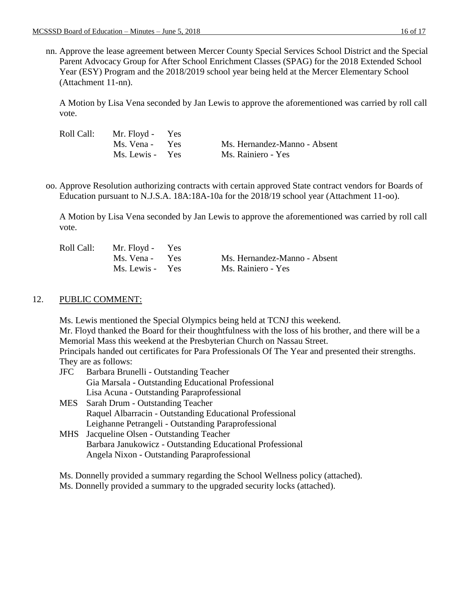nn. Approve the lease agreement between Mercer County Special Services School District and the Special Parent Advocacy Group for After School Enrichment Classes (SPAG) for the 2018 Extended School Year (ESY) Program and the 2018/2019 school year being held at the Mercer Elementary School (Attachment 11-nn).

A Motion by Lisa Vena seconded by Jan Lewis to approve the aforementioned was carried by roll call vote.

| Roll Call: | Mr. Floyd - Yes |                              |
|------------|-----------------|------------------------------|
|            | Ms. Vena - Yes  | Ms. Hernandez-Manno - Absent |
|            | Ms. Lewis - Yes | Ms. Rainiero - Yes           |

oo. Approve Resolution authorizing contracts with certain approved State contract vendors for Boards of Education pursuant to N.J.S.A. 18A:18A-10a for the 2018/19 school year (Attachment 11-oo).

A Motion by Lisa Vena seconded by Jan Lewis to approve the aforementioned was carried by roll call vote.

| Roll Call: | Mr. Floyd - Yes |                              |
|------------|-----------------|------------------------------|
|            | Ms. Vena - Yes  | Ms. Hernandez-Manno - Absent |
|            | Ms. Lewis - Yes | Ms. Rainiero - Yes           |

## 12. PUBLIC COMMENT:

Ms. Lewis mentioned the Special Olympics being held at TCNJ this weekend. Mr. Floyd thanked the Board for their thoughtfulness with the loss of his brother, and there will be a Memorial Mass this weekend at the Presbyterian Church on Nassau Street. Principals handed out certificates for Para Professionals Of The Year and presented their strengths. They are as follows: JFC Barbara Brunelli - Outstanding Teacher

- Gia Marsala Outstanding Educational Professional Lisa Acuna - Outstanding Paraprofessional
- MES Sarah Drum Outstanding Teacher Raquel Albarracin - Outstanding Educational Professional Leighanne Petrangeli - Outstanding Paraprofessional
- MHS Jacqueline Olsen Outstanding Teacher Barbara Janukowicz - Outstanding Educational Professional Angela Nixon - Outstanding Paraprofessional

Ms. Donnelly provided a summary regarding the School Wellness policy (attached).

Ms. Donnelly provided a summary to the upgraded security locks (attached).